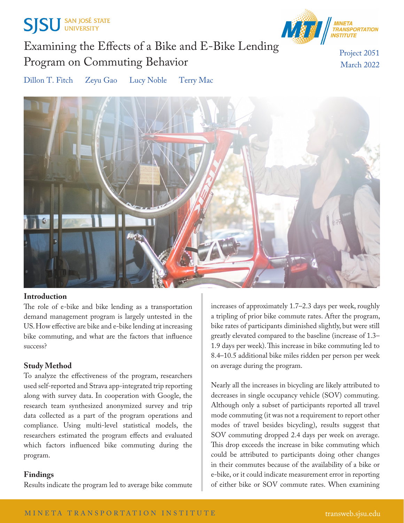



# Examining the Effects of a Bike and E-Bike Lending Program on Commuting Behavior

Project 2051 March 2022

Dillon T. Fitch Zeyu Gao Lucy Noble Terry Mac



### **Introduction**

The role of e-bike and bike lending as a transportation demand management program is largely untested in the US. How effective are bike and e-bike lending at increasing bike commuting, and what are the factors that influence success?

# **Study Method**

To analyze the effectiveness of the program, researchers used self-reported and Strava app-integrated trip reporting along with survey data. In cooperation with Google, the research team synthesized anonymized survey and trip data collected as a part of the program operations and compliance. Using multi-level statistical models, the researchers estimated the program effects and evaluated which factors influenced bike commuting during the program.

### **Findings**

Results indicate the program led to average bike commute

increases of approximately 1.7–2.3 days per week, roughly a tripling of prior bike commute rates. After the program, bike rates of participants diminished slightly, but were still greatly elevated compared to the baseline (increase of 1.3– 1.9 days per week). This increase in bike commuting led to 8.4–10.5 additional bike miles ridden per person per week on average during the program.

Nearly all the increases in bicycling are likely attributed to decreases in single occupancy vehicle (SOV) commuting. Although only a subset of participants reported all travel mode commuting (it was not a requirement to report other modes of travel besides bicycling), results suggest that SOV commuting dropped 2.4 days per week on average. This drop exceeds the increase in bike commuting which could be attributed to participants doing other changes in their commutes because of the availability of a bike or e-bike, or it could indicate measurement error in reporting of either bike or SOV commute rates. When examining